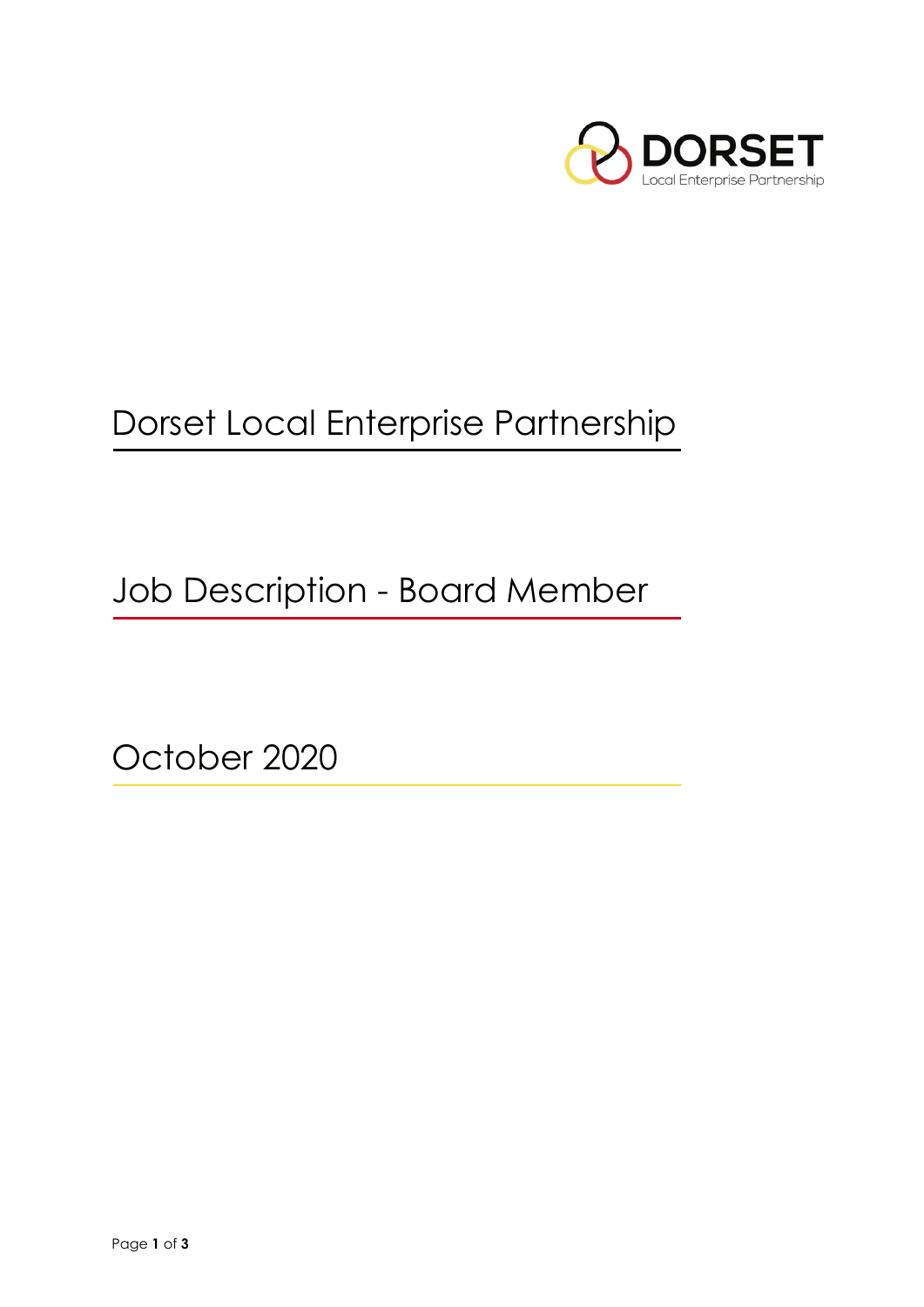

# Dorset Local Enterprise Partnership

Job Description - Board Member

October 2020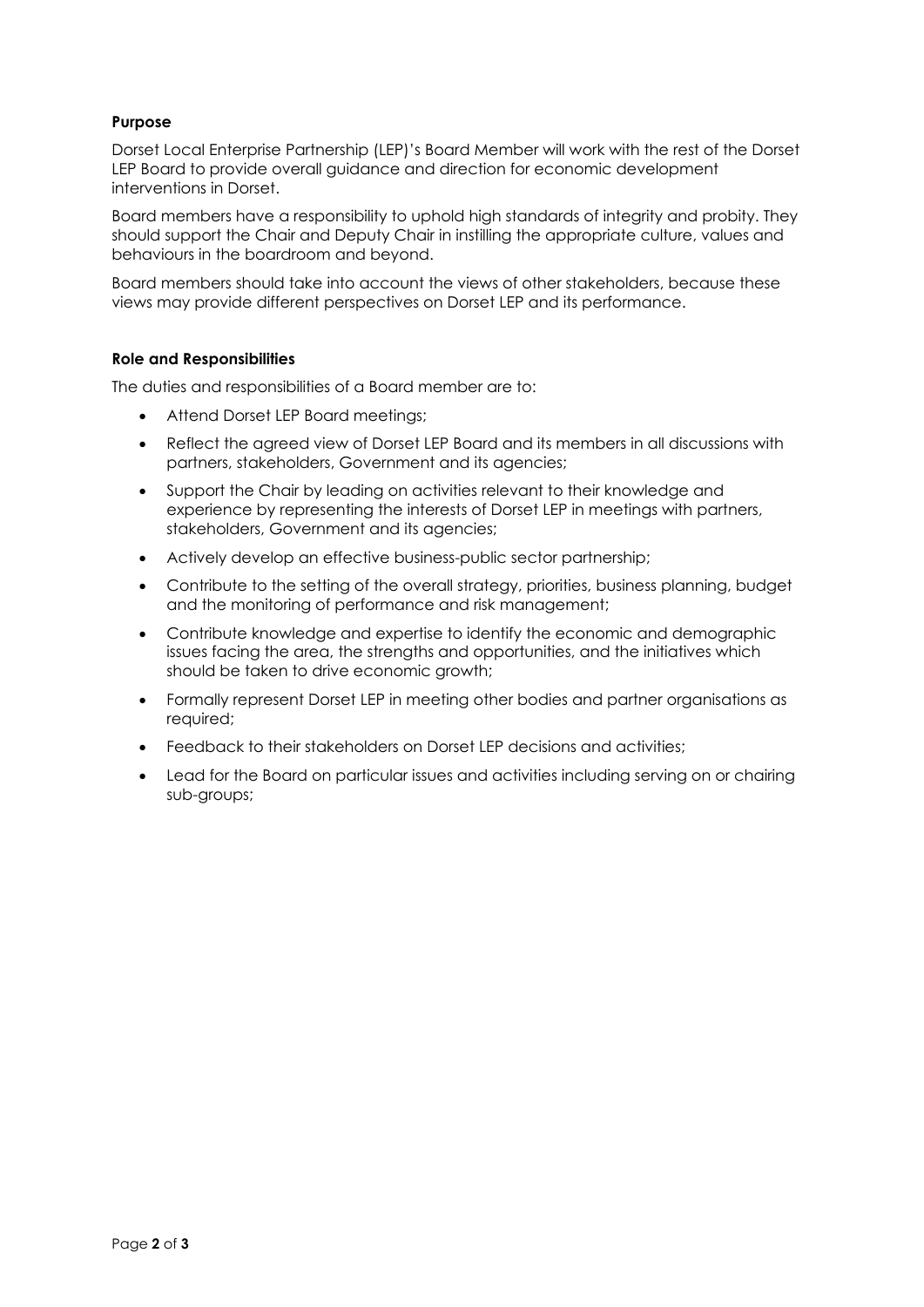# **Purpose**

Dorset Local Enterprise Partnership (LEP)'s Board Member will work with the rest of the Dorset LEP Board to provide overall guidance and direction for economic development interventions in Dorset.

Board members have a responsibility to uphold high standards of integrity and probity. They should support the Chair and Deputy Chair in instilling the appropriate culture, values and behaviours in the boardroom and beyond.

Board members should take into account the views of other stakeholders, because these views may provide different perspectives on Dorset LEP and its performance.

#### **Role and Responsibilities**

The duties and responsibilities of a Board member are to:

- Attend Dorset LEP Board meetings;
- Reflect the agreed view of Dorset LEP Board and its members in all discussions with partners, stakeholders, Government and its agencies;
- Support the Chair by leading on activities relevant to their knowledge and experience by representing the interests of Dorset LEP in meetings with partners, stakeholders, Government and its agencies;
- Actively develop an effective business-public sector partnership;
- Contribute to the setting of the overall strategy, priorities, business planning, budget and the monitoring of performance and risk management;
- Contribute knowledge and expertise to identify the economic and demographic issues facing the area, the strengths and opportunities, and the initiatives which should be taken to drive economic growth;
- Formally represent Dorset LEP in meeting other bodies and partner organisations as required;
- Feedback to their stakeholders on Dorset LEP decisions and activities;
- Lead for the Board on particular issues and activities including serving on or chairing sub-groups;